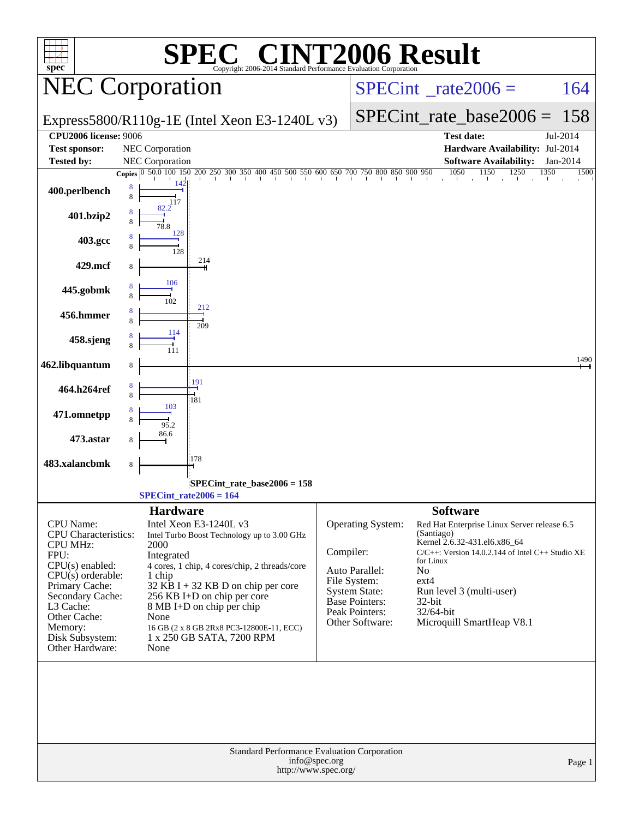| <b>INT2006 Result</b><br>$\bigwedge^{\bullet}$<br>H,<br>Copyright 2006-2014 Standard Performance Evaluation Corporation<br>spec <sup>®</sup> |                                                                                                                                                                                                  |                                         |                                                                                       |  |  |  |  |  |  |  |
|----------------------------------------------------------------------------------------------------------------------------------------------|--------------------------------------------------------------------------------------------------------------------------------------------------------------------------------------------------|-----------------------------------------|---------------------------------------------------------------------------------------|--|--|--|--|--|--|--|
|                                                                                                                                              | <b>NEC Corporation</b>                                                                                                                                                                           |                                         | $SPECint^{\circ}$ _rate2006 =<br>164                                                  |  |  |  |  |  |  |  |
|                                                                                                                                              | Express5800/R110g-1E (Intel Xeon E3-1240L v3)                                                                                                                                                    |                                         | $SPECint_rate_base2006 =$<br>158                                                      |  |  |  |  |  |  |  |
| <b>CPU2006</b> license: 9006                                                                                                                 |                                                                                                                                                                                                  |                                         | <b>Test date:</b><br>Jul-2014                                                         |  |  |  |  |  |  |  |
| <b>Test sponsor:</b>                                                                                                                         | NEC Corporation                                                                                                                                                                                  |                                         | Hardware Availability: Jul-2014                                                       |  |  |  |  |  |  |  |
| Tested by:                                                                                                                                   | <b>NEC Corporation</b>                                                                                                                                                                           |                                         | <b>Software Availability:</b><br>$Jan-2014$                                           |  |  |  |  |  |  |  |
|                                                                                                                                              | <b>Copies</b> $\begin{bmatrix} 0 & 50 & 0 & 100 & 150 & 200 & 250 & 300 & 350 & 400 & 450 & 500 & 550 & 600 & 650 & 700 & 750 & 800 & 850 & 900 & 950 & 1050 & 1150 & 1250 & 1350 \end{bmatrix}$ |                                         | 1500                                                                                  |  |  |  |  |  |  |  |
| 400.perlbench                                                                                                                                | 8<br>8<br>117                                                                                                                                                                                    |                                         |                                                                                       |  |  |  |  |  |  |  |
| 401.bzip2                                                                                                                                    |                                                                                                                                                                                                  |                                         |                                                                                       |  |  |  |  |  |  |  |
| 403.gcc                                                                                                                                      | 128<br>128                                                                                                                                                                                       |                                         |                                                                                       |  |  |  |  |  |  |  |
| 429.mcf                                                                                                                                      | 214<br>8                                                                                                                                                                                         |                                         |                                                                                       |  |  |  |  |  |  |  |
| 445.gobmk                                                                                                                                    | 106<br>102                                                                                                                                                                                       |                                         |                                                                                       |  |  |  |  |  |  |  |
| 456.hmmer                                                                                                                                    | 212<br>209                                                                                                                                                                                       |                                         |                                                                                       |  |  |  |  |  |  |  |
| 458.sjeng                                                                                                                                    | 114                                                                                                                                                                                              |                                         |                                                                                       |  |  |  |  |  |  |  |
| 462.libquantum                                                                                                                               | 8                                                                                                                                                                                                |                                         | 1490                                                                                  |  |  |  |  |  |  |  |
| 464.h264ref                                                                                                                                  | 191<br>:181                                                                                                                                                                                      |                                         |                                                                                       |  |  |  |  |  |  |  |
| 471.omnetpp                                                                                                                                  | 103<br>95.2                                                                                                                                                                                      |                                         |                                                                                       |  |  |  |  |  |  |  |
| 473.astar                                                                                                                                    | 86.6<br>8                                                                                                                                                                                        |                                         |                                                                                       |  |  |  |  |  |  |  |
| 483.xalancbmk                                                                                                                                | 178<br>8                                                                                                                                                                                         |                                         |                                                                                       |  |  |  |  |  |  |  |
|                                                                                                                                              | SPECint_rate_base2006 = 158<br>$SPECint_rate2006 = 164$                                                                                                                                          |                                         |                                                                                       |  |  |  |  |  |  |  |
|                                                                                                                                              | <b>Hardware</b>                                                                                                                                                                                  |                                         | <b>Software</b>                                                                       |  |  |  |  |  |  |  |
| <b>CPU</b> Name:<br>CPU Characteristics:                                                                                                     | Intel Xeon E3-1240L v3<br>Intel Turbo Boost Technology up to 3.00 GHz                                                                                                                            | Operating System:                       | Red Hat Enterprise Linux Server release 6.5<br>(Santiago)                             |  |  |  |  |  |  |  |
| <b>CPU MHz:</b><br>FPU:                                                                                                                      | 2000<br>Integrated                                                                                                                                                                               | Compiler:                               | Kernel 2.6.32-431.el6.x86_64<br>$C/C++$ : Version 14.0.2.144 of Intel $C++$ Studio XE |  |  |  |  |  |  |  |
| CPU(s) enabled:                                                                                                                              | 4 cores, 1 chip, 4 cores/chip, 2 threads/core                                                                                                                                                    | Auto Parallel:                          | for Linux                                                                             |  |  |  |  |  |  |  |
| $CPU(s)$ orderable:                                                                                                                          | 1 chip                                                                                                                                                                                           | File System:                            | No<br>$ext{4}$                                                                        |  |  |  |  |  |  |  |
| Primary Cache:<br>Secondary Cache:                                                                                                           | $32$ KB I + 32 KB D on chip per core<br>256 KB I+D on chip per core                                                                                                                              | <b>System State:</b>                    | Run level 3 (multi-user)                                                              |  |  |  |  |  |  |  |
| L3 Cache:                                                                                                                                    | 8 MB I+D on chip per chip                                                                                                                                                                        | <b>Base Pointers:</b><br>Peak Pointers: | 32-bit<br>32/64-bit                                                                   |  |  |  |  |  |  |  |
| Other Cache:<br>Memory:                                                                                                                      | None<br>16 GB (2 x 8 GB 2Rx8 PC3-12800E-11, ECC)                                                                                                                                                 | Other Software:                         | Microquill SmartHeap V8.1                                                             |  |  |  |  |  |  |  |
| Disk Subsystem:                                                                                                                              | 1 x 250 GB SATA, 7200 RPM                                                                                                                                                                        |                                         |                                                                                       |  |  |  |  |  |  |  |
| Other Hardware:                                                                                                                              | None                                                                                                                                                                                             |                                         |                                                                                       |  |  |  |  |  |  |  |
|                                                                                                                                              |                                                                                                                                                                                                  |                                         |                                                                                       |  |  |  |  |  |  |  |
|                                                                                                                                              | <b>Standard Performance Evaluation Corporation</b><br>info@spec.org<br>http://www.spec.org/                                                                                                      |                                         | Page 1                                                                                |  |  |  |  |  |  |  |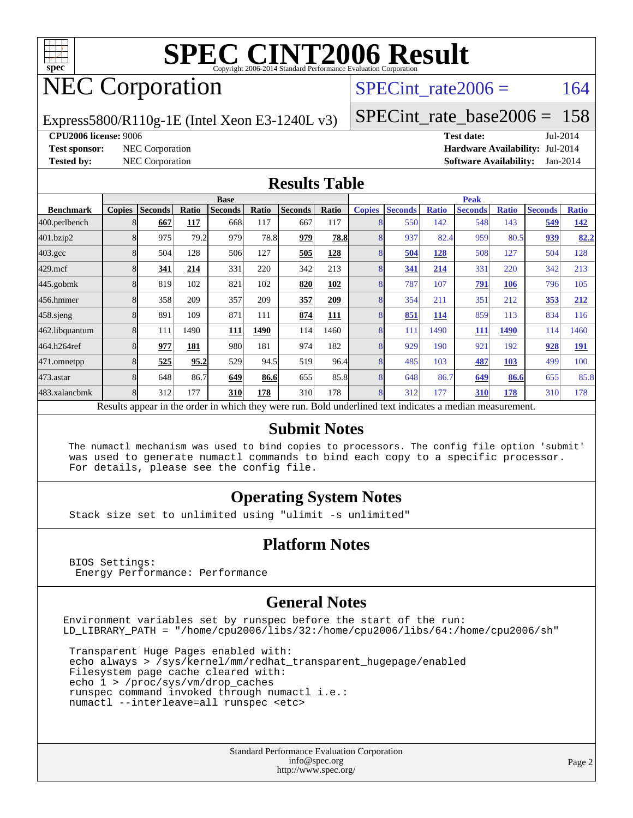

# **[SPEC CINT2006 Result](http://www.spec.org/auto/cpu2006/Docs/result-fields.html#SPECCINT2006Result)**

## NEC Corporation

SPECint rate $2006 = 164$ 

Express5800/R110g-1E (Intel Xeon E3-1240L v3)

[SPECint\\_rate\\_base2006 =](http://www.spec.org/auto/cpu2006/Docs/result-fields.html#SPECintratebase2006) 158

**[CPU2006 license:](http://www.spec.org/auto/cpu2006/Docs/result-fields.html#CPU2006license)** 9006 **[Test date:](http://www.spec.org/auto/cpu2006/Docs/result-fields.html#Testdate)** Jul-2014

**[Test sponsor:](http://www.spec.org/auto/cpu2006/Docs/result-fields.html#Testsponsor)** NEC Corporation **[Hardware Availability:](http://www.spec.org/auto/cpu2006/Docs/result-fields.html#HardwareAvailability)** Jul-2014 **[Tested by:](http://www.spec.org/auto/cpu2006/Docs/result-fields.html#Testedby)** NEC Corporation **[Software Availability:](http://www.spec.org/auto/cpu2006/Docs/result-fields.html#SoftwareAvailability)** Jan-2014

#### **[Results Table](http://www.spec.org/auto/cpu2006/Docs/result-fields.html#ResultsTable)**

|                                                                                                          | <b>Base</b>   |                |       |                |       |                |            | <b>Peak</b>   |                |              |                |              |                |              |
|----------------------------------------------------------------------------------------------------------|---------------|----------------|-------|----------------|-------|----------------|------------|---------------|----------------|--------------|----------------|--------------|----------------|--------------|
| <b>Benchmark</b>                                                                                         | <b>Copies</b> | <b>Seconds</b> | Ratio | <b>Seconds</b> | Ratio | <b>Seconds</b> | Ratio      | <b>Copies</b> | <b>Seconds</b> | <b>Ratio</b> | <b>Seconds</b> | <b>Ratio</b> | <b>Seconds</b> | <b>Ratio</b> |
| 400.perlbench                                                                                            |               | 667            | 117   | 668            | 117   | 667            | 117        | 8             | 550            | 142          | 548            | 143          | 549            | <u>142</u>   |
| 401.bzip2                                                                                                |               | 975            | 79.2  | 979            | 78.8  | 979            | 78.8       | 8             | 937            | 82.4         | 959            | 80.5         | 939            | 82.2         |
| $403.\mathrm{gcc}$                                                                                       |               | 504            | 128   | 506            | 127   | 505            | <u>128</u> | 8             | 504            | <u>128</u>   | 508            | 127          | 504            | 128          |
| $429$ .mcf                                                                                               |               | 341            | 214   | 331            | 220   | 342            | 213        | 8             | 341            | 214          | 331            | 220          | 342            | 213          |
| $445$ .gobm $k$                                                                                          |               | 819            | 102   | 821            | 102   | 820            | 102        | 8             | 787            | 107          | 791            | 106          | 796            | 105          |
| 456.hmmer                                                                                                |               | 358            | 209   | 357            | 209   | 357            | 209        | 8             | 354            | 211          | 351            | 212          | 353            | 212          |
| $458$ .sjeng                                                                                             |               | 891            | 109   | 871            | 111   | 874            | <b>111</b> | 8             | 851            | 114          | 859            | 113          | 834            | 116          |
| 462.libquantum                                                                                           |               | 111            | 1490  | 111            | 1490  | 114            | 1460       | 8             | 111            | 1490         | 111            | 1490         | 114            | 1460         |
| 464.h264ref                                                                                              |               | 977            | 181   | 980            | 181   | 974            | 182        | 8             | 929            | 190          | 921            | 192          | 928            | <u>191</u>   |
| 471.omnetpp                                                                                              |               | 525            | 95.2  | 529            | 94.5  | 519            | 96.4       | 8             | 485            | 103          | 487            | 103          | 499            | 100          |
| 473.astar                                                                                                |               | 648            | 86.7  | 649            | 86.6  | 655            | 85.8       | 8             | 648            | 86.7         | 649            | 86.6         | 655            | 85.8         |
| 483.xalancbmk                                                                                            |               | 312            | 177   | 310            | 178   | 310            | 178        | 8             | 312            | 177          | 310            | 178          | 310            | 178          |
| Results appear in the order in which they were run. Bold underlined text indicates a median measurement. |               |                |       |                |       |                |            |               |                |              |                |              |                |              |

### **[Submit Notes](http://www.spec.org/auto/cpu2006/Docs/result-fields.html#SubmitNotes)**

 The numactl mechanism was used to bind copies to processors. The config file option 'submit' was used to generate numactl commands to bind each copy to a specific processor. For details, please see the config file.

### **[Operating System Notes](http://www.spec.org/auto/cpu2006/Docs/result-fields.html#OperatingSystemNotes)**

Stack size set to unlimited using "ulimit -s unlimited"

#### **[Platform Notes](http://www.spec.org/auto/cpu2006/Docs/result-fields.html#PlatformNotes)**

 BIOS Settings: Energy Performance: Performance

### **[General Notes](http://www.spec.org/auto/cpu2006/Docs/result-fields.html#GeneralNotes)**

Environment variables set by runspec before the start of the run: LD\_LIBRARY\_PATH = "/home/cpu2006/libs/32:/home/cpu2006/libs/64:/home/cpu2006/sh"

 Transparent Huge Pages enabled with: echo always > /sys/kernel/mm/redhat\_transparent\_hugepage/enabled Filesystem page cache cleared with: echo 1 > /proc/sys/vm/drop\_caches runspec command invoked through numactl i.e.: numactl --interleave=all runspec <etc>

> Standard Performance Evaluation Corporation [info@spec.org](mailto:info@spec.org) <http://www.spec.org/>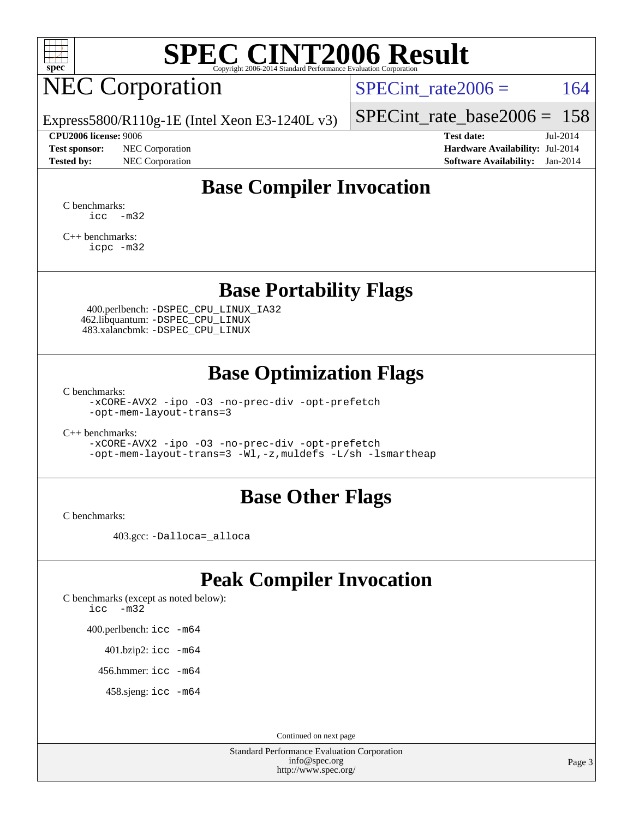

# **[SPEC CINT2006 Result](http://www.spec.org/auto/cpu2006/Docs/result-fields.html#SPECCINT2006Result)**

## NEC Corporation

SPECint rate $2006 = 164$ 

Express5800/R110g-1E (Intel Xeon E3-1240L v3)

#### **[CPU2006 license:](http://www.spec.org/auto/cpu2006/Docs/result-fields.html#CPU2006license)** 9006 **[Test date:](http://www.spec.org/auto/cpu2006/Docs/result-fields.html#Testdate)** Jul-2014

**[Test sponsor:](http://www.spec.org/auto/cpu2006/Docs/result-fields.html#Testsponsor)** NEC Corporation **[Hardware Availability:](http://www.spec.org/auto/cpu2006/Docs/result-fields.html#HardwareAvailability)** Jul-2014

[SPECint\\_rate\\_base2006 =](http://www.spec.org/auto/cpu2006/Docs/result-fields.html#SPECintratebase2006) 158

**[Tested by:](http://www.spec.org/auto/cpu2006/Docs/result-fields.html#Testedby)** NEC Corporation **[Software Availability:](http://www.spec.org/auto/cpu2006/Docs/result-fields.html#SoftwareAvailability)** Jan-2014

## **[Base Compiler Invocation](http://www.spec.org/auto/cpu2006/Docs/result-fields.html#BaseCompilerInvocation)**

[C benchmarks](http://www.spec.org/auto/cpu2006/Docs/result-fields.html#Cbenchmarks): [icc -m32](http://www.spec.org/cpu2006/results/res2014q3/cpu2006-20140805-30766.flags.html#user_CCbase_intel_icc_5ff4a39e364c98233615fdd38438c6f2)

[C++ benchmarks:](http://www.spec.org/auto/cpu2006/Docs/result-fields.html#CXXbenchmarks) [icpc -m32](http://www.spec.org/cpu2006/results/res2014q3/cpu2006-20140805-30766.flags.html#user_CXXbase_intel_icpc_4e5a5ef1a53fd332b3c49e69c3330699)

## **[Base Portability Flags](http://www.spec.org/auto/cpu2006/Docs/result-fields.html#BasePortabilityFlags)**

 400.perlbench: [-DSPEC\\_CPU\\_LINUX\\_IA32](http://www.spec.org/cpu2006/results/res2014q3/cpu2006-20140805-30766.flags.html#b400.perlbench_baseCPORTABILITY_DSPEC_CPU_LINUX_IA32) 462.libquantum: [-DSPEC\\_CPU\\_LINUX](http://www.spec.org/cpu2006/results/res2014q3/cpu2006-20140805-30766.flags.html#b462.libquantum_baseCPORTABILITY_DSPEC_CPU_LINUX) 483.xalancbmk: [-DSPEC\\_CPU\\_LINUX](http://www.spec.org/cpu2006/results/res2014q3/cpu2006-20140805-30766.flags.html#b483.xalancbmk_baseCXXPORTABILITY_DSPEC_CPU_LINUX)

## **[Base Optimization Flags](http://www.spec.org/auto/cpu2006/Docs/result-fields.html#BaseOptimizationFlags)**

[C benchmarks](http://www.spec.org/auto/cpu2006/Docs/result-fields.html#Cbenchmarks):

[-xCORE-AVX2](http://www.spec.org/cpu2006/results/res2014q3/cpu2006-20140805-30766.flags.html#user_CCbase_f-xAVX2_5f5fc0cbe2c9f62c816d3e45806c70d7) [-ipo](http://www.spec.org/cpu2006/results/res2014q3/cpu2006-20140805-30766.flags.html#user_CCbase_f-ipo) [-O3](http://www.spec.org/cpu2006/results/res2014q3/cpu2006-20140805-30766.flags.html#user_CCbase_f-O3) [-no-prec-div](http://www.spec.org/cpu2006/results/res2014q3/cpu2006-20140805-30766.flags.html#user_CCbase_f-no-prec-div) [-opt-prefetch](http://www.spec.org/cpu2006/results/res2014q3/cpu2006-20140805-30766.flags.html#user_CCbase_f-opt-prefetch) [-opt-mem-layout-trans=3](http://www.spec.org/cpu2006/results/res2014q3/cpu2006-20140805-30766.flags.html#user_CCbase_f-opt-mem-layout-trans_a7b82ad4bd7abf52556d4961a2ae94d5)

[C++ benchmarks:](http://www.spec.org/auto/cpu2006/Docs/result-fields.html#CXXbenchmarks)

[-xCORE-AVX2](http://www.spec.org/cpu2006/results/res2014q3/cpu2006-20140805-30766.flags.html#user_CXXbase_f-xAVX2_5f5fc0cbe2c9f62c816d3e45806c70d7) [-ipo](http://www.spec.org/cpu2006/results/res2014q3/cpu2006-20140805-30766.flags.html#user_CXXbase_f-ipo) [-O3](http://www.spec.org/cpu2006/results/res2014q3/cpu2006-20140805-30766.flags.html#user_CXXbase_f-O3) [-no-prec-div](http://www.spec.org/cpu2006/results/res2014q3/cpu2006-20140805-30766.flags.html#user_CXXbase_f-no-prec-div) [-opt-prefetch](http://www.spec.org/cpu2006/results/res2014q3/cpu2006-20140805-30766.flags.html#user_CXXbase_f-opt-prefetch) [-opt-mem-layout-trans=3](http://www.spec.org/cpu2006/results/res2014q3/cpu2006-20140805-30766.flags.html#user_CXXbase_f-opt-mem-layout-trans_a7b82ad4bd7abf52556d4961a2ae94d5) [-Wl,-z,muldefs](http://www.spec.org/cpu2006/results/res2014q3/cpu2006-20140805-30766.flags.html#user_CXXbase_link_force_multiple1_74079c344b956b9658436fd1b6dd3a8a) [-L/sh -lsmartheap](http://www.spec.org/cpu2006/results/res2014q3/cpu2006-20140805-30766.flags.html#user_CXXbase_SmartHeap_32f6c82aa1ed9c52345d30cf6e4a0499)

## **[Base Other Flags](http://www.spec.org/auto/cpu2006/Docs/result-fields.html#BaseOtherFlags)**

[C benchmarks](http://www.spec.org/auto/cpu2006/Docs/result-fields.html#Cbenchmarks):

403.gcc: [-Dalloca=\\_alloca](http://www.spec.org/cpu2006/results/res2014q3/cpu2006-20140805-30766.flags.html#b403.gcc_baseEXTRA_CFLAGS_Dalloca_be3056838c12de2578596ca5467af7f3)

## **[Peak Compiler Invocation](http://www.spec.org/auto/cpu2006/Docs/result-fields.html#PeakCompilerInvocation)**

[C benchmarks \(except as noted below\)](http://www.spec.org/auto/cpu2006/Docs/result-fields.html#Cbenchmarksexceptasnotedbelow): [icc -m32](http://www.spec.org/cpu2006/results/res2014q3/cpu2006-20140805-30766.flags.html#user_CCpeak_intel_icc_5ff4a39e364c98233615fdd38438c6f2)

400.perlbench: [icc -m64](http://www.spec.org/cpu2006/results/res2014q3/cpu2006-20140805-30766.flags.html#user_peakCCLD400_perlbench_intel_icc_64bit_bda6cc9af1fdbb0edc3795bac97ada53)

401.bzip2: [icc -m64](http://www.spec.org/cpu2006/results/res2014q3/cpu2006-20140805-30766.flags.html#user_peakCCLD401_bzip2_intel_icc_64bit_bda6cc9af1fdbb0edc3795bac97ada53)

456.hmmer: [icc -m64](http://www.spec.org/cpu2006/results/res2014q3/cpu2006-20140805-30766.flags.html#user_peakCCLD456_hmmer_intel_icc_64bit_bda6cc9af1fdbb0edc3795bac97ada53)

458.sjeng: [icc -m64](http://www.spec.org/cpu2006/results/res2014q3/cpu2006-20140805-30766.flags.html#user_peakCCLD458_sjeng_intel_icc_64bit_bda6cc9af1fdbb0edc3795bac97ada53)

Continued on next page

Standard Performance Evaluation Corporation [info@spec.org](mailto:info@spec.org) <http://www.spec.org/>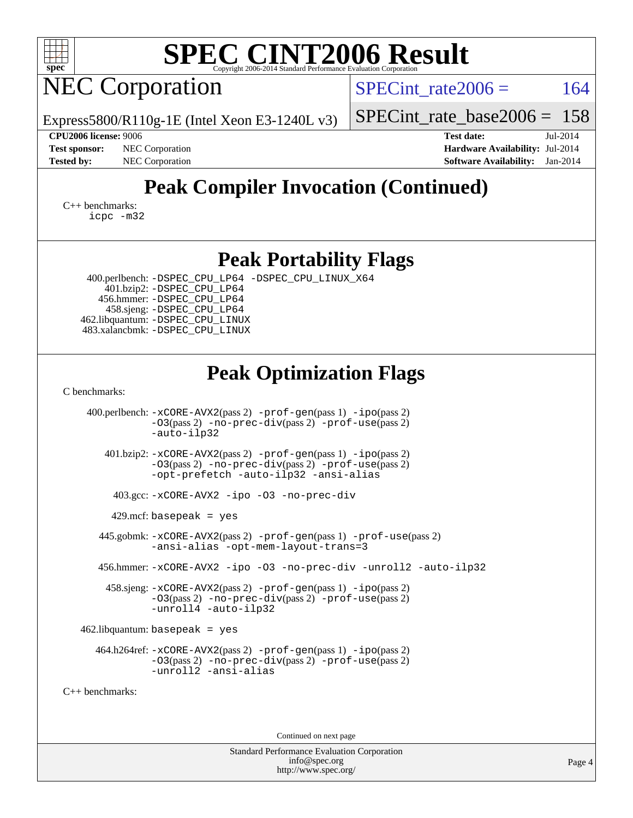